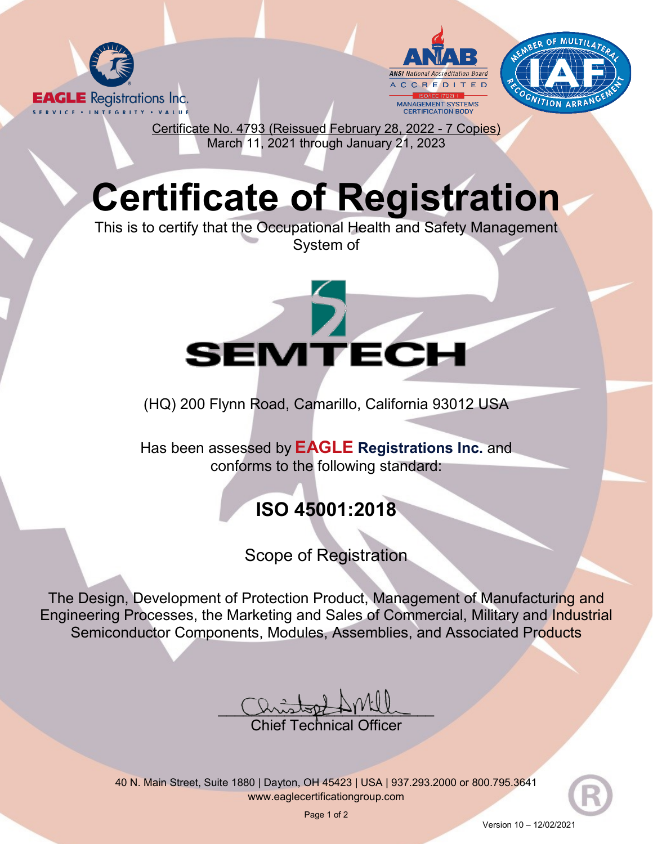





Certificate No. 4793 (Reissued February 28, 2022 - 7 Copies) March 11, 2021 through January 21, 2023

## **Certificate of Registration**

This is to certify that the Occupational Health and Safety Management System of



(HQ) 200 Flynn Road, Camarillo, California 93012 USA

Has been assessed by **EAGLE Registrations Inc.** and conforms to the following standard:

## **ISO 45001:2018**

Scope of Registration

The Design, Development of Protection Product, Management of Manufacturing and Engineering Processes, the Marketing and Sales of Commercial, Military and Industrial Semiconductor Components, Modules, Assemblies, and Associated Products

 $U$ histophille

Chief Technical Officer

40 N. Main Street, Suite 1880 | Dayton, OH 45423 | USA | 937.293.2000 or 800.795.3641 [www.eaglecertificationgroup.com](http://www.eaglecertificationgroup.com/)

Page 1 of 2

Version 10 – 12/02/2021